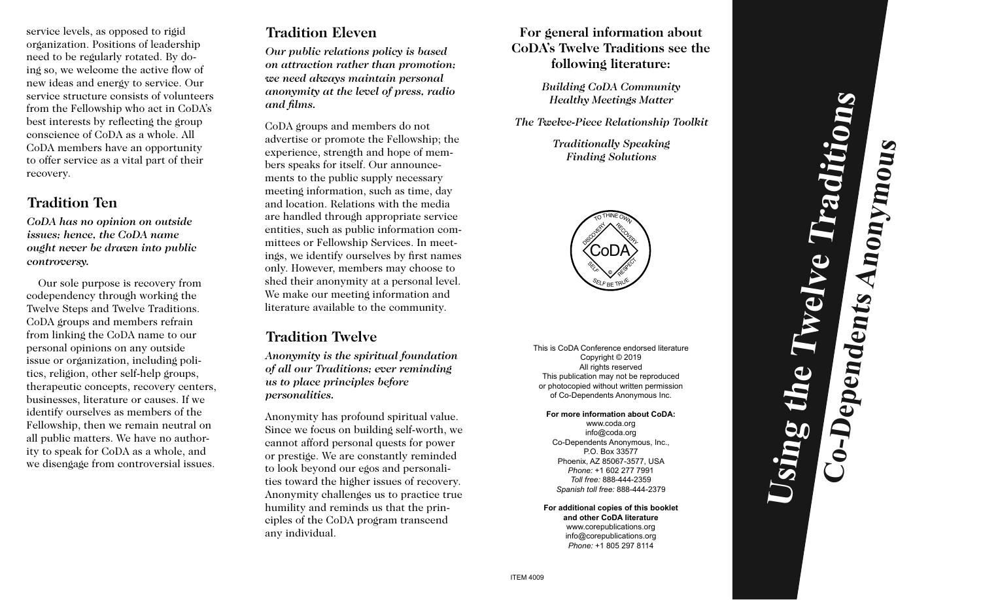service levels, as opposed to rigid organization. Positions of leadership need to be regularly rotated. By doing so, we welcome the active flow of new ideas and energy to service. Our service structure consists of volunteers from the Fellowship who act in CoDA's best interests by reflecting the group conscience of CoDA as a whole. All CoDA members have an opportunity to offer service as a vital part of their recovery.

#### **Tradition Ten**

*CoDA has no opinion on outside issues; hence, the CoDA name ought never be drawn into public controversy.*

Our sole purpose is recovery from codependency through working the Twelve Steps and Twelve Traditions. CoDA groups and members refrain from linking the CoDA name to our personal opinions on any outside issue or organization, including politics, religion, other self-help groups, therapeutic concepts, recovery centers, businesses, literature or causes. If we identify ourselves as members of the Fellowship, then we remain neutral on all public matters. We have no authority to speak for CoDA as a whole, and we disengage from controversial issues.

# **Tradition Eleven**

*Our public relations policy is based on attraction rather than promotion; we need always maintain personal anonymity at the level of press, radio and films.*

CoDA groups and members do not advertise or promote the Fellowship; the experience, strength and hope of members speaks for itself. Our announcements to the public supply necessary meeting information, such as time, day and location. Relations with the media are handled through appropriate service entities, such as public information committees or Fellowship Services. In meetings, we identify ourselves by first names only. However, members may choose to shed their anonymity at a personal level. We make our meeting information and literature available to the community.

## **Tradition Twelve**

*Anonymity is the spiritual foundation of all our Traditions; ever reminding us to place principles before personalities.*

Anonymity has profound spiritual value. Since we focus on building self-worth, we cannot afford personal quests for power or prestige. We are constantly reminded to look beyond our egos and personalities toward the higher issues of recovery. Anonymity challenges us to practice true humility and reminds us that the principles of the CoDA program transcend any individual.

#### **For general information about CoDA's Twelve Traditions see the following literature:**

*Building CoDA Community Healthy Meetings Matter*

*The Twelve-Piece Relationship Toolkit*

*Traditionally Speaking Finding Solutions*



This is CoDA Conference endorsed literature Copyright © 2019 All rights reserved This publication may not be reproduced or photocopied without written permission of Co-Dependents Anonymous Inc.

#### **For more information about CoDA:**

www.coda.org info@coda.org Co-Dependents Anonymous, Inc., P.O. Box 33577 Phoenix, AZ 85067-3577, USA *Phone:* +1 602 277 7991 *Toll free:* 888-444-2359 *Spanish toll free:* 888-444-2379

**For additional copies of this booklet and other CoDA literature** www.corepublications.org info@corepublications.org *Phone:* +1 805 297 8114